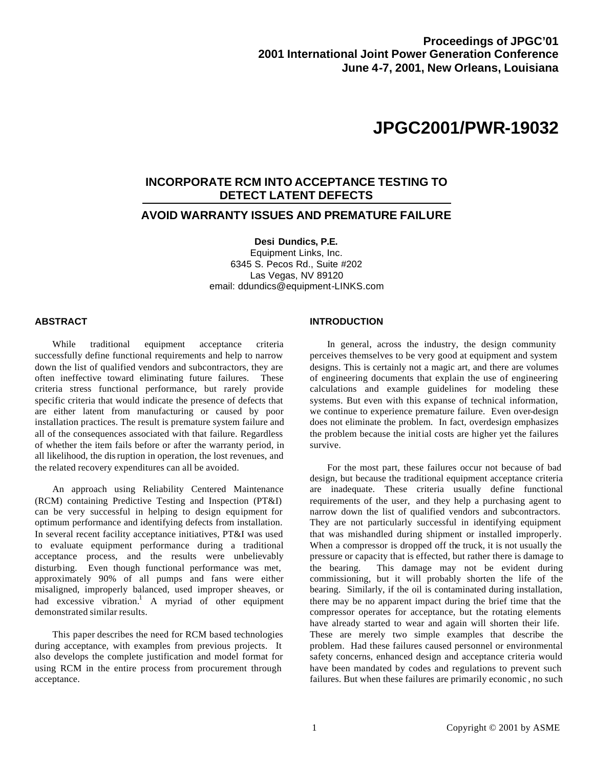# **JPGC2001/PWR-19032**

# **INCORPORATE RCM INTO ACCEPTANCE TESTING TO DETECT LATENT DEFECTS**

## **AVOID WARRANTY ISSUES AND PREMATURE FAILURE**

**Desi Dundics, P.E.** Equipment Links, Inc. 6345 S. Pecos Rd., Suite #202 Las Vegas, NV 89120 email: ddundics@equipment-LINKS.com

#### **ABSTRACT**

While traditional equipment acceptance criteria successfully define functional requirements and help to narrow down the list of qualified vendors and subcontractors, they are often ineffective toward eliminating future failures. These criteria stress functional performance, but rarely provide specific criteria that would indicate the presence of defects that are either latent from manufacturing or caused by poor installation practices. The result is premature system failure and all of the consequences associated with that failure. Regardless of whether the item fails before or after the warranty period, in all likelihood, the disruption in operation, the lost revenues, and the related recovery expenditures can all be avoided.

An approach using Reliability Centered Maintenance (RCM) containing Predictive Testing and Inspection (PT&I) can be very successful in helping to design equipment for optimum performance and identifying defects from installation. In several recent facility acceptance initiatives, PT&I was used to evaluate equipment performance during a traditional acceptance process, and the results were unbelievably disturbing. Even though functional performance was met, approximately 90% of all pumps and fans were either misaligned, improperly balanced, used improper sheaves, or had excessive vibration.<sup>1</sup> A myriad of other equipment demonstrated similar results.

This paper describes the need for RCM based technologies during acceptance, with examples from previous projects. It also develops the complete justification and model format for using RCM in the entire process from procurement through acceptance.

#### **INTRODUCTION**

In general, across the industry, the design community perceives themselves to be very good at equipment and system designs. This is certainly not a magic art, and there are volumes of engineering documents that explain the use of engineering calculations and example guidelines for modeling these systems. But even with this expanse of technical information, we continue to experience premature failure. Even over-design does not eliminate the problem. In fact, overdesign emphasizes the problem because the initial costs are higher yet the failures survive.

For the most part, these failures occur not because of bad design, but because the traditional equipment acceptance criteria are inadequate. These criteria usually define functional requirements of the user, and they help a purchasing agent to narrow down the list of qualified vendors and subcontractors. They are not particularly successful in identifying equipment that was mishandled during shipment or installed improperly. When a compressor is dropped off the truck, it is not usually the pressure or capacity that is effected, but rather there is damage to the bearing. This damage may not be evident during commissioning, but it will probably shorten the life of the bearing. Similarly, if the oil is contaminated during installation, there may be no apparent impact during the brief time that the compressor operates for acceptance, but the rotating elements have already started to wear and again will shorten their life. These are merely two simple examples that describe the problem. Had these failures caused personnel or environmental safety concerns, enhanced design and acceptance criteria would have been mandated by codes and regulations to prevent such failures. But when these failures are primarily economic , no such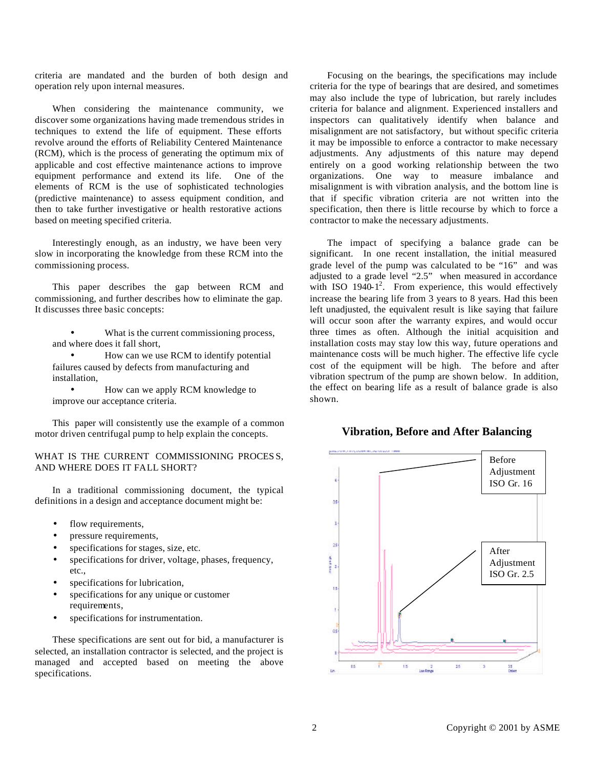criteria are mandated and the burden of both design and operation rely upon internal measures.

When considering the maintenance community, we discover some organizations having made tremendous strides in techniques to extend the life of equipment. These efforts revolve around the efforts of Reliability Centered Maintenance (RCM), which is the process of generating the optimum mix of applicable and cost effective maintenance actions to improve equipment performance and extend its life. One of the elements of RCM is the use of sophisticated technologies (predictive maintenance) to assess equipment condition, and then to take further investigative or health restorative actions based on meeting specified criteria.

Interestingly enough, as an industry, we have been very slow in incorporating the knowledge from these RCM into the commissioning process.

This paper describes the gap between RCM and commissioning, and further describes how to eliminate the gap. It discusses three basic concepts:

- What is the current commissioning process, and where does it fall short,
- How can we use RCM to identify potential failures caused by defects from manufacturing and installation,

• How can we apply RCM knowledge to improve our acceptance criteria.

This paper will consistently use the example of a common motor driven centrifugal pump to help explain the concepts.

#### WHAT IS THE CURRENT COMMISSIONING PROCESS. AND WHERE DOES IT FALL SHORT?

In a traditional commissioning document, the typical definitions in a design and acceptance document might be:

- flow requirements,
- pressure requirements,
- specifications for stages, size, etc.
- specifications for driver, voltage, phases, frequency, etc.,
- specifications for lubrication,
- specifications for any unique or customer requirements,
- specifications for instrumentation.

These specifications are sent out for bid, a manufacturer is selected, an installation contractor is selected, and the project is managed and accepted based on meeting the above specifications.

Focusing on the bearings, the specifications may include criteria for the type of bearings that are desired, and sometimes may also include the type of lubrication, but rarely includes criteria for balance and alignment. Experienced installers and inspectors can qualitatively identify when balance and misalignment are not satisfactory, but without specific criteria it may be impossible to enforce a contractor to make necessary adjustments. Any adjustments of this nature may depend entirely on a good working relationship between the two organizations. One way to measure imbalance and misalignment is with vibration analysis, and the bottom line is that if specific vibration criteria are not written into the specification, then there is little recourse by which to force a contractor to make the necessary adjustments.

The impact of specifying a balance grade can be significant. In one recent installation, the initial measured grade level of the pump was calculated to be "16" and was adjusted to a grade level "2.5" when measured in accordance with ISO  $1940-1^2$ . From experience, this would effectively increase the bearing life from 3 years to 8 years. Had this been left unadjusted, the equivalent result is like saying that failure will occur soon after the warranty expires, and would occur three times as often. Although the initial acquisition and installation costs may stay low this way, future operations and maintenance costs will be much higher. The effective life cycle cost of the equipment will be high. The before and after vibration spectrum of the pump are shown below. In addition, the effect on bearing life as a result of balance grade is also shown.

### **Vibration, Before and After Balancing**

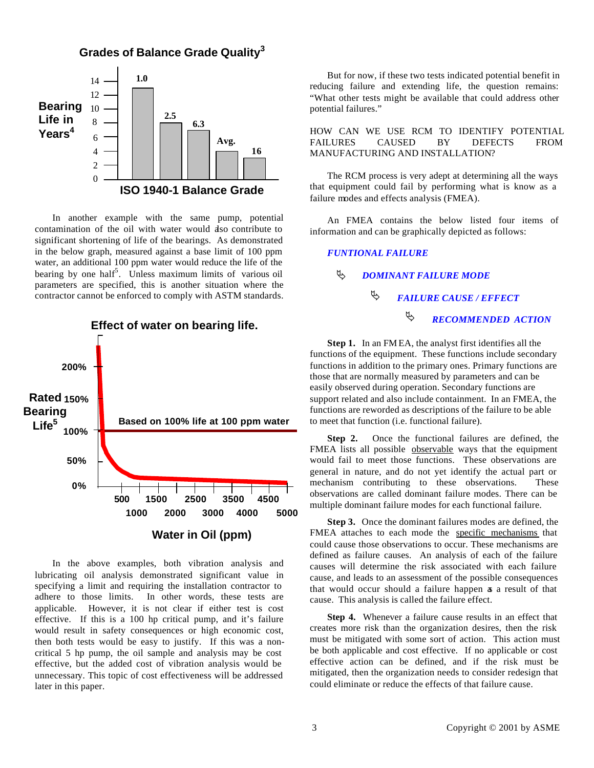



In another example with the same pump, potential contamination of the oil with water would also contribute to significant shortening of life of the bearings. As demonstrated in the below graph, measured against a base limit of 100 ppm water, an additional 100 ppm water would reduce the life of the bearing by one half<sup>5</sup>. Unless maximum limits of various oil parameters are specified, this is another situation where the contractor cannot be enforced to comply with ASTM standards.



In the above examples, both vibration analysis and lubricating oil analysis demonstrated significant value in specifying a limit and requiring the installation contractor to adhere to those limits. In other words, these tests are applicable. However, it is not clear if either test is cost effective. If this is a 100 hp critical pump, and it's failure would result in safety consequences or high economic cost, then both tests would be easy to justify. If this was a noncritical 5 hp pump, the oil sample and analysis may be cost effective, but the added cost of vibration analysis would be unnecessary. This topic of cost effectiveness will be addressed later in this paper.

But for now, if these two tests indicated potential benefit in reducing failure and extending life, the question remains: "What other tests might be available that could address other potential failures."

#### HOW CAN WE USE RCM TO IDENTIFY POTENTIAL FAILURES CAUSED BY DEFECTS FROM MANUFACTURING AND INSTALLATION?

The RCM process is very adept at determining all the ways that equipment could fail by performing what is know as a failure modes and effects analysis (FMEA).

An FMEA contains the below listed four items of information and can be graphically depicted as follows:

#### *FUNTIONAL FAILURE*

*DOMINANT FAILURE MODE* ƒ

#### *FAILURE CAUSE / EFFECT RECOMMENDED ACTION* ƒ  $\oplus$

**Step 1.** In an FM EA, the analyst first identifies all the functions of the equipment. These functions include secondary functions in addition to the primary ones. Primary functions are those that are normally measured by parameters and can be easily observed during operation. Secondary functions are support related and also include containment. In an FMEA, the functions are reworded as descriptions of the failure to be able to meet that function (i.e. functional failure).

**Step 2.** Once the functional failures are defined, the FMEA lists all possible observable ways that the equipment would fail to meet those functions. These observations are general in nature, and do not yet identify the actual part or mechanism contributing to these observations. These observations are called dominant failure modes. There can be multiple dominant failure modes for each functional failure.

**Step 3.** Once the dominant failures modes are defined, the FMEA attaches to each mode the specific mechanisms that could cause those observations to occur. These mechanisms are defined as failure causes. An analysis of each of the failure causes will determine the risk associated with each failure cause, and leads to an assessment of the possible consequences that would occur should a failure happen as a result of that cause. This analysis is called the failure effect.

**Step 4.** Whenever a failure cause results in an effect that creates more risk than the organization desires, then the risk must be mitigated with some sort of action. This action must be both applicable and cost effective. If no applicable or cost effective action can be defined, and if the risk must be mitigated, then the organization needs to consider redesign that could eliminate or reduce the effects of that failure cause.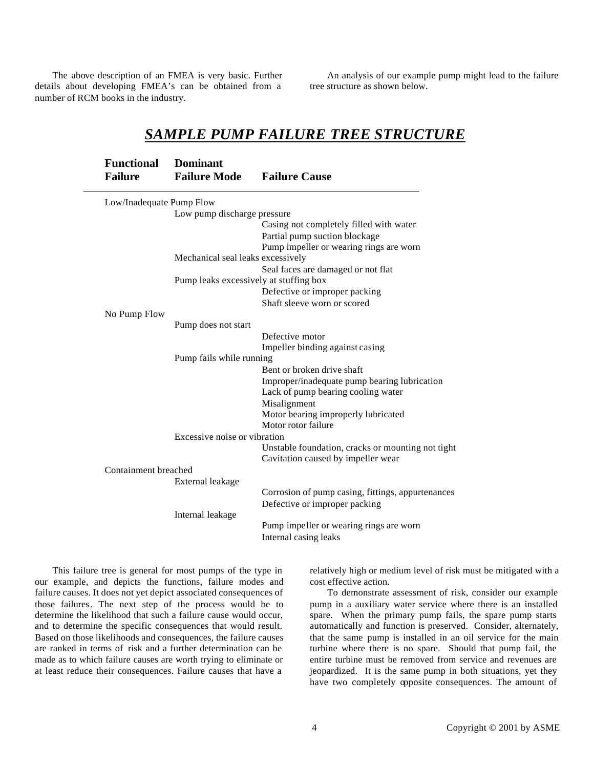The above description of an FMEA is very basic. Further details about developing FMEA's can be obtained from a number of RCM books in the industry.

An analysis of our example pump might lead to the failure tree structure as shown below.

# *SAMPLE PUMP FAILURE TREE STRUCTURE*

| <b>Dominant</b>                        |                                                                                                                                      |
|----------------------------------------|--------------------------------------------------------------------------------------------------------------------------------------|
| <b>Failure Mode</b>                    | <b>Failure Cause</b>                                                                                                                 |
|                                        |                                                                                                                                      |
|                                        |                                                                                                                                      |
|                                        |                                                                                                                                      |
|                                        | Casing not completely filled with water                                                                                              |
|                                        | Partial pump suction blockage                                                                                                        |
|                                        | Pump impeller or wearing rings are worn                                                                                              |
|                                        |                                                                                                                                      |
|                                        | Seal faces are damaged or not flat                                                                                                   |
| Pump leaks excessively at stuffing box |                                                                                                                                      |
|                                        | Defective or improper packing                                                                                                        |
|                                        | Shaft sleeve worn or scored                                                                                                          |
|                                        |                                                                                                                                      |
| Pump does not start                    |                                                                                                                                      |
|                                        | Defective motor                                                                                                                      |
|                                        | Impeller binding against casing                                                                                                      |
| Pump fails while running               |                                                                                                                                      |
|                                        | Bent or broken drive shaft                                                                                                           |
|                                        | Improper/inadequate pump bearing lubrication                                                                                         |
|                                        | Lack of pump bearing cooling water                                                                                                   |
|                                        | Misalignment                                                                                                                         |
|                                        | Motor bearing improperly lubricated                                                                                                  |
|                                        | Motor rotor failure                                                                                                                  |
| Excessive noise or vibration           |                                                                                                                                      |
|                                        | Unstable foundation, cracks or mounting not tight                                                                                    |
|                                        | Cavitation caused by impeller wear                                                                                                   |
| Containment breached                   |                                                                                                                                      |
|                                        |                                                                                                                                      |
|                                        | Corrosion of pump casing, fittings, appurtenances                                                                                    |
|                                        | Defective or improper packing                                                                                                        |
|                                        |                                                                                                                                      |
|                                        | Pump impeller or wearing rings are worn                                                                                              |
|                                        | Internal casing leaks                                                                                                                |
|                                        | Low/Inadequate Pump Flow<br>Low pump discharge pressure<br>Mechanical seal leaks excessively<br>External leakage<br>Internal leakage |

This failure tree is general for most pumps of the type in our example, and depicts the functions, failure modes and failure causes. It does not yet depict associated consequences of those failures. The next step of the process would be to determine the likelihood that such a failure cause would occur, and to determine the specific consequences that would result. Based on those likelihoods and consequences, the failure causes are ranked in terms of risk and a further determination can be made as to which failure causes are worth trying to eliminate or at least reduce their consequences. Failure causes that have a

relatively high or medium level of risk must be mitigated with a cost effective action.

To demonstrate assessment of risk, consider our example pump in a auxiliary water service where there is an installed spare. When the primary pump fails, the spare pump starts automatically and function is preserved. Consider, alternately, that the same pump is installed in an oil service for the main turbine where there is no spare. Should that pump fail, the entire turbine must be removed from service and revenues are jeopardized. It is the same pump in both situations, yet they have two completely opposite consequences. The amount of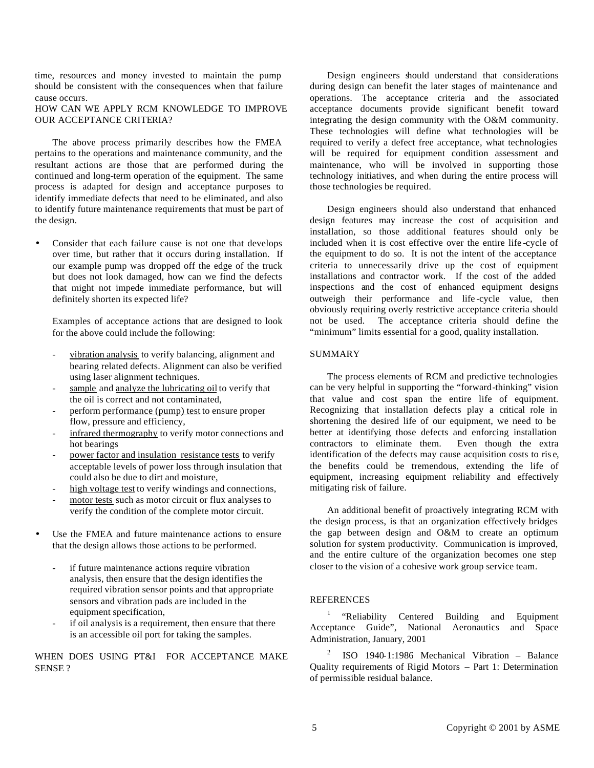time, resources and money invested to maintain the pump should be consistent with the consequences when that failure cause occurs.

HOW CAN WE APPLY RCM KNOWLEDGE TO IMPROVE OUR ACCEPTANCE CRITERIA?

The above process primarily describes how the FMEA pertains to the operations and maintenance community, and the resultant actions are those that are performed during the continued and long-term operation of the equipment. The same process is adapted for design and acceptance purposes to identify immediate defects that need to be eliminated, and also to identify future maintenance requirements that must be part of the design.

• Consider that each failure cause is not one that develops over time, but rather that it occurs during installation. If our example pump was dropped off the edge of the truck but does not look damaged, how can we find the defects that might not impede immediate performance, but will definitely shorten its expected life?

Examples of acceptance actions that are designed to look for the above could include the following:

- vibration analysis to verify balancing, alignment and bearing related defects. Alignment can also be verified using laser alignment techniques.
- sample and analyze the lubricating oil to verify that the oil is correct and not contaminated,
- perform performance (pump) test to ensure proper flow, pressure and efficiency,
- infrared thermography to verify motor connections and hot bearings
- power factor and insulation resistance tests to verify acceptable levels of power loss through insulation that could also be due to dirt and moisture,
- high voltage test to verify windings and connections,
- motor tests such as motor circuit or flux analyses to verify the condition of the complete motor circuit.
- Use the FMEA and future maintenance actions to ensure that the design allows those actions to be performed.
	- if future maintenance actions require vibration analysis, then ensure that the design identifies the required vibration sensor points and that appropriate sensors and vibration pads are included in the equipment specification,
	- if oil analysis is a requirement, then ensure that there is an accessible oil port for taking the samples.

WHEN DOES USING PT&I FOR ACCEPTANCE MAKE SENSE ?

Design engineers should understand that considerations during design can benefit the later stages of maintenance and operations. The acceptance criteria and the associated acceptance documents provide significant benefit toward integrating the design community with the O&M community. These technologies will define what technologies will be required to verify a defect free acceptance, what technologies will be required for equipment condition assessment and maintenance, who will be involved in supporting those technology initiatives, and when during the entire process will those technologies be required.

Design engineers should also understand that enhanced design features may increase the cost of acquisition and installation, so those additional features should only be included when it is cost effective over the entire life -cycle of the equipment to do so. It is not the intent of the acceptance criteria to unnecessarily drive up the cost of equipment installations and contractor work. If the cost of the added inspections and the cost of enhanced equipment designs outweigh their performance and life -cycle value, then obviously requiring overly restrictive acceptance criteria should not be used. The acceptance criteria should define the "minimum" limits essential for a good, quality installation.

#### SUMMARY

The process elements of RCM and predictive technologies can be very helpful in supporting the "forward-thinking" vision that value and cost span the entire life of equipment. Recognizing that installation defects play a critical role in shortening the desired life of our equipment, we need to be better at identifying those defects and enforcing installation contractors to eliminate them. Even though the extra identification of the defects may cause acquisition costs to ris e, the benefits could be tremendous, extending the life of equipment, increasing equipment reliability and effectively mitigating risk of failure.

An additional benefit of proactively integrating RCM with the design process, is that an organization effectively bridges the gap between design and O&M to create an optimum solution for system productivity. Communication is improved, and the entire culture of the organization becomes one step closer to the vision of a cohesive work group service team.

#### **REFERENCES**

<sup>1</sup>"Reliability Centered Building and Equipment Acceptance Guide", National Aeronautics and Space Administration, January, 2001

<sup>2</sup>ISO 1940-1:1986 Mechanical Vibration – Balance Quality requirements of Rigid Motors – Part 1: Determination of permissible residual balance.